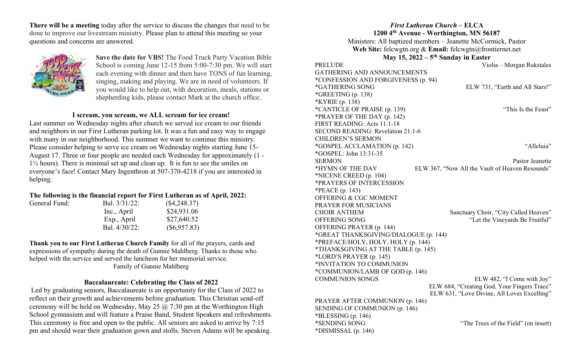There will be a meeting today after the service to discuss the changes that need to be done to improve our livestream ministry. Please plan to attend this meeting so your questions and concerns are answered.



General Fund:

Save the date for VBS! The Food Truck Party Vacation Bible School is coming June 12-15 from 5:00-7:30 pm. We will start each evening with dinner and then have TONS of fun learning, singing, making and playing. We are in need of volunteers. If you would like to help out, with decoration, meals, stations or shepherding kids, please contact Mark at the church office.

# I scream, you scream, we ALL scream for ice cream!

Last summer on Wednesday nights after church we served ice cream to our friends and neighbors in our First Lutheran parking lot. It was a fun and easy way to engage with many in our neighborhood. This summer we want to continue this ministry. Please consider helping to serve ice cream on Wednesday nights starting June 15- August 17. Three or four people are needed each Wednesday for approximately (1 - 1½ hours). There is minimal set up and clean up. It is fun to see the smiles on everyone's face! Contact Mary Ingenthron at 507-370-4218 if you are interested in helping.

# The following is the financial report for First Lutheran as of April, 2022:

| Bal. 3/31/22: | $(\$4,248.37)$ |
|---------------|----------------|
| Inc., April   | \$24,931.06    |
| Exp., April   | \$27,640.52    |
| Bal. 4/30/22: | $(\$6,957.83)$ |

Thank you to our First Lutheran Church Family for all of the prayers, cards and expressions of sympathy during the death of Gunnie Mahlberg. Thanks to those who helped with the service and served the luncheon for her memorial service. Family of Gunnie Mahlberg

## Baccalaureate: Celebrating the Class of 2022

 Led by graduating seniors, Baccalaureate is an opportunity for the Class of 2022 to reflect on their growth and achievements before graduation. This Christian send-off ceremony will be held on Wednesday, May 25  $\omega$  7:30 pm at the Worthington High School gymnasium and will feature a Praise Band, Student Speakers and refreshments. This ceremony is free and open to the public. All seniors are asked to arrive by 7:15 pm and should wear their graduation gown and stolls. Steven Adams will be speaking.

### First Lutheran Church – ELCA 1200 4th Avenue - Worthington, MN 56187

Ministers: All baptized members – Jeanette McCormick, Pastor Web Site: felcwgtn.org & Email: felcwgtn@frontiernet.net May 15,  $2022 - 5$ <sup>th</sup> Sunday in Easter

PRELUDE Violia – Morgan Rukstales GATHERING AND ANNOUNCEMENTS \*CONFESSION AND FORGIVENESS (p. 94) \*GATHERING SONG ELW 731, "Earth and All Stars!" \*GREETING (p. 138) \*KYRIE (p. 138) \*CANTICLE OF PRAISE (p. 139) "This Is the Feast" \*PRAYER OF THE DAY (p. 142) FIRST READING: Acts 11:1-18 SECOND READING: Revelation 21:1-6 CHILDREN'S SERMON \*GOSPEL ACCLAMATION (p. 142) "Alleluia" \*GOSPEL: John 13:31-35 SERMON Pastor Jeanette \*HYMN OF THE DAY ELW 367, "Now All the Vault of Heaven Resounds" \*NICENE CREED (p. 104) \*PRAYERS OF INTERCESSION \*PEACE (p. 143) OFFERING & CGC MOMENT PRAYER FOR MUSICIANS CHOIR ANTHEM Sanctuary Choir, "City Called Heaven" OFFERING SONG "Let the Vineyards Be Fruitful" OFFERING PRAYER (p. 144) \*GREAT THANKSGIVING/DIALOGUE (p. 144) \*PREFACE/HOLY, HOLY, HOLY (p. 144) \*THANKSGIVING AT THE TABLE (p. 145) \*LORD'S PRAYER (p. 145) \*INVITATION TO COMMUNION \*COMMUNION/LAMB OF GOD (p. 146) COMMUNION SONGS ELW 482, "I Come with Joy" ELW 684, "Creating God, Your Fingers Trace" ELW 631, "Love Divine, All Loves Excelling" PRAYER AFTER COMMUNION (p. 146) SENDING OF COMMUNION (p. 146)

 $*BLESSING (p. 146)$ \*DISMISSAL (p. 146)

\*SENDING SONG "The Trees of the Field" (on insert)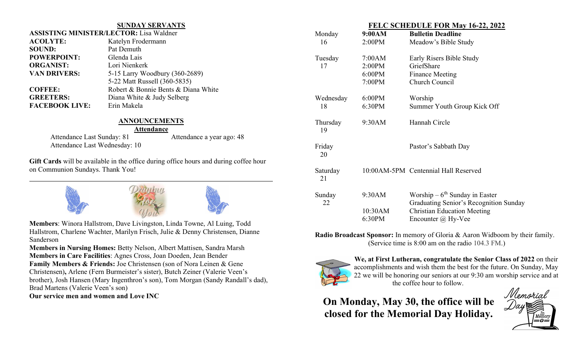#### SUNDAY SERVANTS

| <b>ASSISTING MINISTER/LECTOR: Lisa Waldner</b> |  |  |
|------------------------------------------------|--|--|
| Katelyn Frodermann                             |  |  |
| Pat Demuth                                     |  |  |
| Glenda Lais                                    |  |  |
| Lori Nienkerk                                  |  |  |
| 5-15 Larry Woodbury (360-2689)                 |  |  |
| 5-22 Matt Russell (360-5835)                   |  |  |
| Robert & Bonnie Bents & Diana White            |  |  |
| Diana White & Judy Selberg                     |  |  |
| Erin Makela                                    |  |  |
|                                                |  |  |

## ANNOUNCEMENTS

#### Attendance

Attendance Last Wednesday: 10

Attendance Last Sunday: 81 Attendance a year ago: 48

Gift Cards will be available in the office during office hours and during coffee hour on Communion Sundays. Thank You!



Members: Winora Hallstrom, Dave Livingston, Linda Towne, Al Luing, Todd Hallstrom, Charlene Wachter, Marilyn Frisch, Julie & Denny Christensen, Dianne Sanderson

Members in Nursing Homes: Betty Nelson, Albert Mattisen, Sandra Marsh Members in Care Facilities: Agnes Cross, Joan Doeden, Jean Bender Family Members & Friends: Joe Christensen (son of Nora Leinen & Gene Christensen), Arlene (Fern Burmeister's sister), Butch Zeiner (Valerie Veen's brother), Josh Hansen (Mary Ingenthron's son), Tom Morgan (Sandy Randall's dad), Brad Martens (Valerie Veen's son)

Our service men and women and Love INC

| FELC SCHEDULE FOR May 16- <i>22</i> , 2022 |        |                                      |  |
|--------------------------------------------|--------|--------------------------------------|--|
| Monday                                     | 9:00AM | <b>Bulletin Deadline</b>             |  |
| 16                                         | 2:00PM | Meadow's Bible Study                 |  |
| Tuesday                                    | 7:00AM | Early Risers Bible Study             |  |
| 17                                         | 2:00PM | GriefShare                           |  |
|                                            | 6:00PM | <b>Finance Meeting</b>               |  |
|                                            | 7:00PM | Church Council                       |  |
| Wednesday                                  | 6:00PM | Worship                              |  |
| 18                                         | 6:30PM | Summer Youth Group Kick Off          |  |
| Thursday<br>19                             | 9:30AM | Hannah Circle                        |  |
| Friday<br>20                               |        | Pastor's Sabbath Day                 |  |
| Saturday<br>21                             |        | 10:00AM-5PM Centennial Hall Reserved |  |
| Sunday                                     | 9:30AM | Worship – $6^{th}$ Sunday in Easter  |  |

FEL C SCHEDULE FOR M

| Sunday | 9:30AM  | Worship $-6th$ Sunday in Easter        |
|--------|---------|----------------------------------------|
| 22     |         | Graduating Senior's Recognition Sunday |
|        | 10:30AM | <b>Christian Education Meeting</b>     |
|        | 6:30PM  | Encounter $\omega$ Hy-Vee              |
|        |         |                                        |

Radio Broadcast Sponsor: In memory of Gloria & Aaron Widboom by their family. (Service time is 8:00 am on the radio 104.3 FM.)



We, at First Lutheran, congratulate the Senior Class of 2022 on their accomplishments and wish them the best for the future. On Sunday, May 22 we will be honoring our seniors at our 9:30 am worship service and at the coffee hour to follow.

On Monday, May 30, the office will be closed for the Memorial Day Holiday.